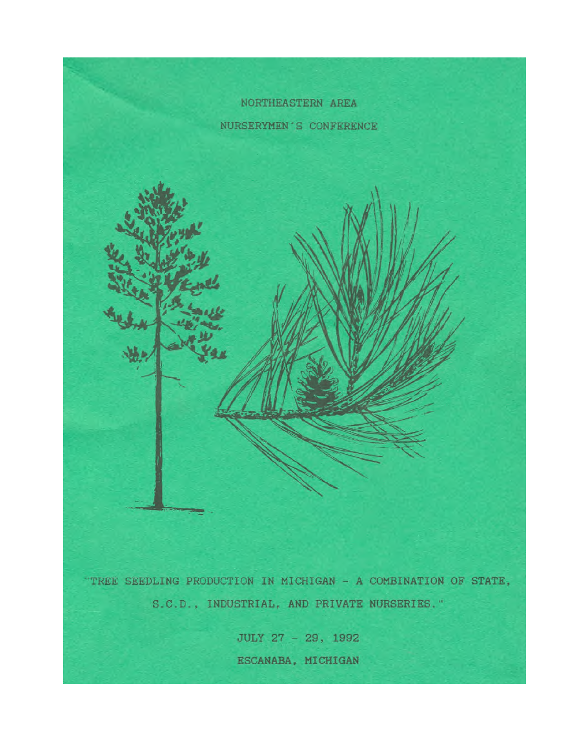

"TREE SEEDLING PRODUCTION IN MICHIGAN - A COMBINATION OF STATE, S.C.D., INDUSTRIAL, AND PRIVATE NURSERIES."

> JULY 27 - 29, 1992 ESCANABA, MICHIGAN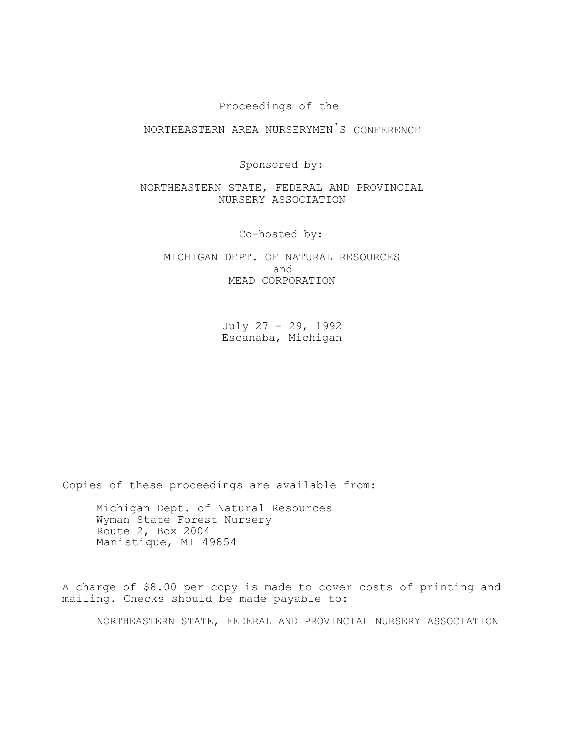## Proceedings of the

## NORTHEASTERN AREA NURSERYMEN' S CONFERENCE

Sponsored by:

NORTHEASTERN STATE, FEDERAL AND PROVINCIAL NURSERY ASSOCIATION

Co-hosted by:

MICHIGAN DEPT. OF NATURAL RESOURCES and MEAD CORPORATION

> July 27 - 29, 1992 Escanaba, Michigan

Copies of these proceedings are available from:

Michigan Dept. of Natural Resources Wyman State Forest Nursery Route 2, Box 2004 Manistique, MI 49854

A charge of \$8.00 per copy is made to cover costs of printing and mailing. Checks should be made payable to:

NORTHEASTERN STATE, FEDERAL AND PROVINCIAL NURSERY ASSOCIATION